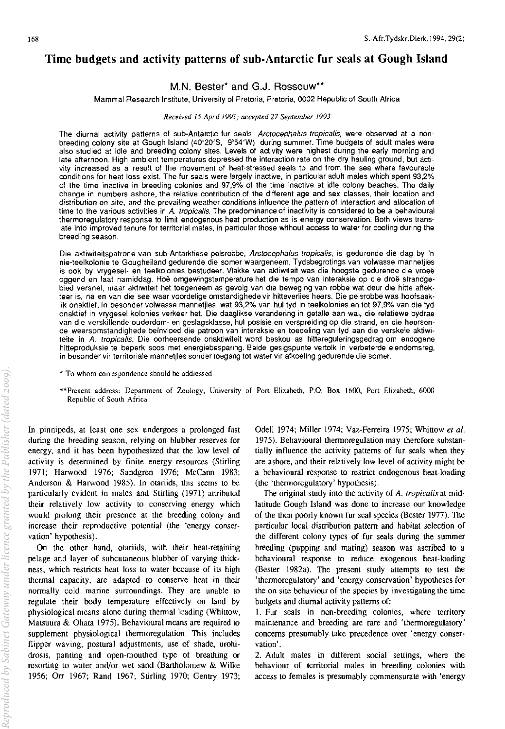# **Time budgets and activity patterns of sub-Antarctic fur seals at Gough Island**

M,N, Bester\* and G,J. Rossouw\*\*

Mammal Research Institute, University of Pretoria, Pretoria, 0002 Republic of South Africa

*Received 15 April 1993; accepted 27 September 1993* 

The diurnal activity patterns of sub-Antarctic fur seals, Arctocephalus tropicalis, were observed at a nonbreeding colony site at Gough Island (40°20'S, 9°54'W) during summer. Time budgets of adult males were also studied at idle and breeding colony sites. Levels of activity were highest during the early morning and late afternoon. High ambient temperatures depressed the interaction rate on the dry hauling ground, but acti**vity increased as a result of the movement of heat-stressed seals to and from the sea where favourable conditions for heat loss exist. The fur seals were largely inactive. in particular aduh males which spent 93,2% of the time inactive in breeding colonies and 97,9% of the time inactive at idle colony beaches. The daily Change in numbers ashore, the relative contribution of the different age and sex classes, their location and**  distribution on site, and the prevailing weather conditions influence the pattern of interaction and allocation of **time to the various activities in A tropicalis. The predominance of inactivity is considered to be a behavioural thermoregulatory response to limit endogenous heat production as is energy conservation. Both views trans**late into improved tenure for territorial males, in particular those without access to water for cooling during the **breeding season.** 

**Die aktiwiteitspatrone van sub-Antarktiese** pels robbe, **Arctocephalus trop;cal;s, is gedurende die dag by 'n nie-teelkolonie te Gougheiland gedurende die somer waargeneem. Tydsbegrotings van volwasse mannetjies is ook by vrygesel- en teelkolonies bestudeer. Vlakke van aktiwiteit was die hoogste gedurende die vroee**  oggend en laat namiddag. Hoë omgewingstemperature het die tempo van interaksie op die droë strandgebied versnel, maar aktiwiteit het toegeneem as gevolg van die beweging van robbe wat deur die hitte affek**teer is, na en van die see waar voordelige omstandighede vir hitteverlies heers. Die pelsrobbe was hoofsaaklik onaktief, in besonder volwasse mannetjies, wat 93,2% van hul tyd in teelkolonies en tot 97,9% van die tyd onaktief in vrygesel kolonies verkeer het. Die daaglikse verandering in getalle aan walt die relatiewe bydrae van die verskillende ouderdom- en geslagsklasse, hul posisie en verspreiding op die strand, en die heersende weersomstandighede be'invloed die patroon van interaksie en toedeling van tyd aan die verskeie aktiwi**teite in *A. tropicalis.* Die oorheersende onaktiwiteit word beskou as hittereguleringsgedrag om endogene hitteproduksie te beperk soos met energiebesparing. Beide gesigspunte vertolk in verbeterde eiendomsreg, **in besonder vir territoriale mannetjies sander toegang tot water vir afkoeling gedurende die somer.** 

- **\* To whom correspondence should be addressed**
- **\*\*Prescnt address: Department of Zoology, University of Porl Elizabeth, P.O. Box 1600, Port Elizabeth, 6000 Republic of South Africa**

In pinnipeds, at least one sex undergoes a prolonged fast during the breeding season, relying on blubber reserves for energy, and it has been hypothesized that the low level of activity is determined by finite energy resources (Stirling 1971; Harwood 1976; Sandgren 1976; McCann 1983; Anderson & Harwood 1985). In otariids, this seems to be particularly evident in males and Stirling (1971) attributed their relatively low activity to conscrving energy which would prolong their presence at the breeding colony and increase their reproductive potential (the 'energy conservation' hypothesis).

On the other hand, otariids, with their heat-retaining pelage and layer of subcutaneous blubber of varying thickness, which restricts heat loss to water because of its high thennal capacity, are adapted to conserve heat in their normally cold marine surroundings. They are unable to regulate their body temperature effectively on land by physiological means alone during thermal loading (Whittow, Matsuura & Ohata 1975), Behavioural means are required to supplement physiological thermoregulation. This includes flipper waving, postural adjustments, use of shade, urohidrosis, panting and open-mouthed type of breathing or resorting to water and/or wet sand (Bartholomew & Wilke 1956; Orr 1967; Rand 1967; Stirling 1970; Gentry 1973; Odell 1974; Miller 1974; Vaz-Ferreira 1975; Whittow *et al.*  1975). Behavioural thermoregulation may therefore substantially influence the activity patterns of fur seals when they are ashore, and their relatively low level of activity might be a behavioural response to restrict endogenous heat-loading (the 'thermoregulatory' hypothesis).

The original study into the activity of A. *tropicalis* at midlatitude Gough Island was done to increase our knowledge of the then poorly known fur seal species (Bester 1977). The particular local distribution pattern and habitat selection of the different colony types of fur seals during the summer breeding (pupping and mating) season was ascribed to a behavioural response to reduce exogenous heat-loading (Bester 1982a), The present study attempts to test the 'thermoregulatory' and 'energy conservation' hypotheses for the on site behaviour of the species by investigating the time budgets and diurnal activity patterns of:

1. Fur seals in non-breeding colonies, where territory maintenance and breeding are rare and 'thermoregulatory' concerns presumably take precedence over 'energy conser**vation' .** 

2. Adult males in different social settings, where the behaviour of territorial males in breeding colonies with access to females is presumably commensurate with 'energy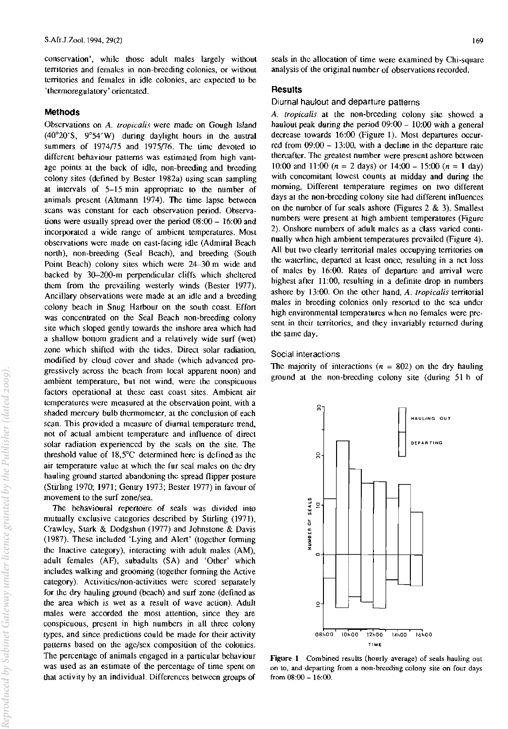conservation', while those adult males largely without territories and females in non-breeding colonies, or without territories and females in idle colonies, arc expected to be 'thermoregulatory' orientated.

## Methods

Observations on *A. Iropicalis* were made on Gough Island  $(40^{\circ}20^{\circ}S, 9^{\circ}54^{\prime}W)$  during daylight hours in the austral summers of  $1974/75$  and  $1975/76$ . The time devoted to different behaviour patterns was estimated from high vantage points at the back of idle, non-breeding and breeding colony sites (defined by Bester 1982a) using scan sampling at intervals of 5-15 min appropriate to the number of animals present (Altmann 1974). The time lapse between scans was constant for each observation period. Observations were usually spread over the period 08:00 - 16:00 and incorporated a wide range of ambient temperatures. Most observations were made on east-facing idle (Admiral Beach north), non-breeding (Seal Beach), and breeding (South Point Beach) colony sites which were 24-30 m wide and backed by 30-2oo-m perpendicular cliffs which sheltered them from the prevailing westerly winds (Bester 1977). Ancillary observations were made at an idle and a breeding colony beach in Snug Harbour on the south coast. Effort was concentrated on the Seal Beach non-breeding colony site which sloped gently towards the inshore area which had a shallow bottom gradient and a relatively wide surf (wet) zone which shifted with the tides. Direct solar radiation, modified by cloud cover and shade (which advanced progressively across the beach from local apparent noon) and ambient temperature, but not wind, were the conspicuous factors operational at these east coast sites, Ambient air temperatures were measured at the observation point, with a shaded mercury bulb thermometer, at the conclusion of each scan. This provided a measure of diurnal temperature trend. not of actual ambient temperature and influence of direct solar radiation experienced by the seals on the site. The threshold value of IS,5°C determined here is defined as the air temperature value at which the fur seal males on the dry hauling ground started abandoning the spread flipper posture (Stirling 1970; 1971; Gentry 1973; Bester 1977) in favour of movement to the surf zone/sea.

The behavioural repertoire of seals was divided into mutually exclusive categories described by Stirling (1971), Crawley, Stark & Dodgshun (1977) and Johnstone & Davis (l9S7). These included 'Lying and Alert' (together forming the Inactive category), interacting with adult males (AM), adult females (AF), subadults (SA) and 'Other' which includes walking and grooming (together forming the Active category). Activities/non-activities were scored separately for the dry hauling ground (beach) and surf zone (defined as the area which is wet as a result of wave action). Adult males were accorded the most attention, since they are conspicuous, present in high numbers in all three colony types, and since predictions could be made for their activity patterns based on the age/sex composition of the colonies. The percentage of animals engaged in a particular behaviour was used as an estimate of the percentage of time spent on that activity by an individual. Differences between groups of seals in the allocation of time were examined by Chi-square analysis of the original number of observations recorded.

# **Results**

#### Diurnal haulout and departure patterns

A. *Iropicalis* at the non-breeding colony site showed a haulout peak during the period  $09:00 - 10:00$  with a general decrease towards 16:00 (Figure 1). Most departures occurred from  $09:00 - 13:00$ , with a decline in the departure rate thereafter. The greatest number were present ashore between 10:00 and 11:00 ( $n = 2$  days) or 14:00 - 15:00 ( $n = 1$  day) with concomitant lowest counts at midday and during the morning. Different temperature regimes on two different days at the non-breeding colony site had different influences on the number of fur seals ashore (Figures 2 & 3). Smallest numbers were present at high ambient temperatures (Figure 2). Onshore numbers of adult males as a class varied continually when high ambient temperatures prevailed (Figure 4). All but two clearly territorial males occupying territories on the waterline, departed at least once, resulting in a net loss of males by 16:00. Rates of departure and arrival were highest after 11:00, resulting in a definite drop in numbers ashore by 13:00. On the other hand, *A. Iropicalis* territorial males in breeding colonies only resorted to the sea under high environmental temperatures when no females were present in their territories, and they invariably returned during the same day.

#### SOCial interactions

The majority of interactions ( $n = 802$ ) on the dry hauling ground at the non-breeding colony site (during 51 h of



Figure 1 Combined results (hourly average) of seals hauling out on to, and departing from a non-breeding colony site on four days from  $08:00 - 16:00$ .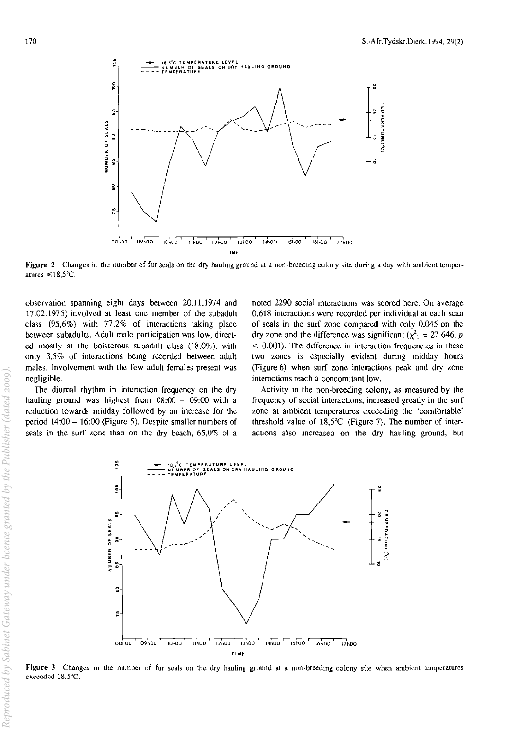

**Figure** 2 Changes in the number of fur seals on the dry hauling ground at a non-breeding colony site during a day with ambient temperatures  $\leq 18.5$ °C.

observation spanning eight days between 20.11.1974 and 17.02.1975) involved at least one member of the subadult class (95,6%) with 77,2% of interactions taking place between subadults. Adult male participation was low, directed mostly at the boisterous subadult class  $(18,0\%)$ , with only 3,5% of interactions being recorded between adult males. Involvement with the few adult females present was negligible.

The diurnal rhythm in interaction frequency on the dry hauling ground was highest from  $08:00 - 09:00$  with a reduction towards midday followed by an increase for the period 14:00 - 16:00 (Figure 5). Despite smaller numbers of seals in the surf zone than on the dry beach, 65,0% of a noted 2290 social interactions was scored here. On average 0,618 interactions were recorded per individual at each scan of seals in the surf zone compared with only 0,045 on the dry zone and the difference was significant ( $\chi^2$ <sub>1</sub> = 27 646, p  $<$  0.001). The difference in interaction frequencies in these two zones is especially evident during midday hours (Figure 6) when surf zone interactions peak and dry zone interactions reach a concomitant low.

Activity in the non-breeding colony, as measured by the frequency of social interactions, increased greatly in the surf zone at ambient temperatures exceeding the 'comfortable' threshold value of 18,5°C (Figure 7). The number of interactions also increased on the dry hauling ground, but



Figure 3 Changes in the number of fur seals on the dry hauling ground at a non-breeding colony site when ambient temperatures exceeded 18,5°C.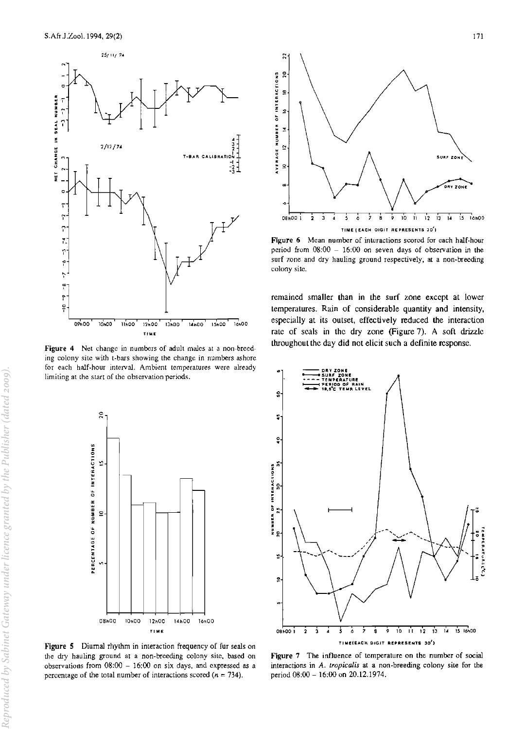

Figure 4 Net change in numbers of adult males at a non-breeding colony site with t-bars showing the change in numbers ashore for each half·hour interval. Ambient temperatures were already limiting at the start of the observation periods.



Figure 5 Diurnal rhythm in interaction frequency of fur seals on the dry hauling ground at a non-breeding colony site, based on observations from  $08:00 - 16:00$  on six days, and expressed as a percentage of the total number of interactions scored ( $n = 734$ ).



Figure 6 Mean number of interactions scored for each half-hour period from  $08:00 - 16:00$  on seven days of observation in the surf zone and dry hauling ground respectively. at a non-breeding colony site.

remained smaller than in the surf zone except at lower temperatures. Rain of considerable quantity and intensity, especially at its outset, effectively reduced the interaction rate of seals in the dry zone (Figure 7). A soft drizzle throughout the day did not elicit such a definite response.



Figure 7 The influence of temperature on the number of social interactions in *A. lropicaiis* at a non-breeding colony site for the period 08:00 - 16:00 on 20.12.1974.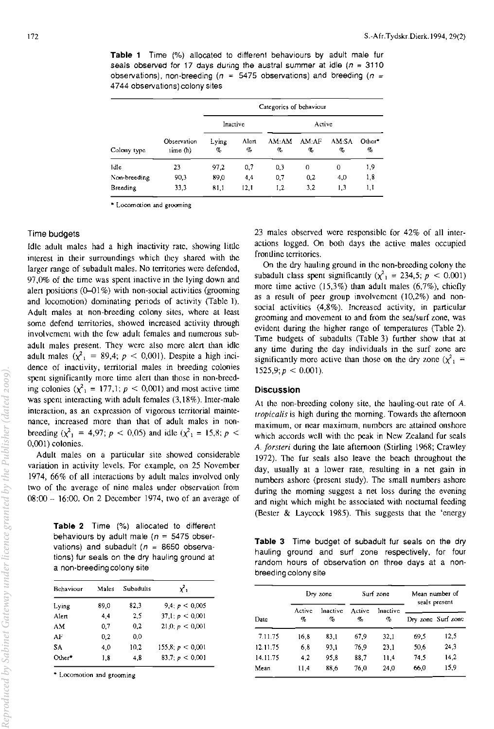**Table 1** Time (%) allocated to different behaviours by adult male fur seals observed for 17 days during the austral summer at idle ( $n = 3110$ observations), non-breeding ( $n = 5475$  observations) and breeding ( $n =$ 4744 observations) colony sites

| Colony type  | Observation<br>time (h) | Categories of behaviour |               |                |             |            |             |  |
|--------------|-------------------------|-------------------------|---------------|----------------|-------------|------------|-------------|--|
|              |                         | Inactive                |               | Active         |             |            |             |  |
|              |                         | Lying<br>%              | Alert<br>$\%$ | AM:AM<br>$q_c$ | AM:AF<br>q, | AM:SA<br>% | Other*<br>% |  |
| Idle         | 23                      | 97.2                    | 0.7           | 0.3            | 0           | 0          | 1,9         |  |
| Non-breeding | 90.3                    | 89,0                    | 4,4           | 0.7            | 0,2         | 4.0        | 1,8         |  |
| Breeding     | 33.3                    | 81,1                    | 12.1          | 1.2            | 3.2         | 1.3        | 1,1         |  |

 $*$  Locomotion and grooming

## Time budgets

Idle adult males had a high inactivity rate, showing little interest in their surroundings which they shared with the larger range of subadult males, No Ierritories were defended,  $97,0\%$  of the time was spent inactive in the lying down and alert positions  $(0-01\%)$  with non-social activities (grooming and locomotion) dominating periods of activity (Table 1). Adult males at non-breeding colony sites, where at least some defend territories, showed increased activity through involvement with the few adult females and numerous subadult males present. They were also more alert than idle adult males  $(\chi^2)$  = 89,4;  $p < 0,001$ ). Despite a high incidence of inactivity, territorial males in breeding colonies spent significantly more time alert than those in non-breeding colonies  $(\chi^2) = 177,1; p < 0,001$  and most active time was spent interacting with adult females (3,18%). Inter-male **interaction, as an expression of vigorous territorial mainte**nance, increased more than that of adult males in nonbreeding ( $\chi^2$ <sub>1</sub> = 4,97;  $p < 0,05$ ) and idle ( $\chi^2$ <sub>1</sub> = 15,8;  $p <$ 0,001) colonies.

Adult males on a particular site showed considerable variation in activity levels, For example, on 25 November 1974, 66% of all interactions by adult males involved only two of the average of nine males under observation from 08:00 - 16:00. On 2 December 1974, two of an average of

**Table 2** Time (%) allocated to different behaviours by adult male ( $n = 5475$  observations) and subadult ( $n = 8650$  observations) fur seals on the dry hauling ground at a non-breeding colony site

| Behaviour | Males | Subadulis | $\mathbf{x}^2$   |
|-----------|-------|-----------|------------------|
| Lying     | 89.0  | 82,3      | 9.4: $p < 0.005$ |
| Alert     | 4.4   | 2.5       | 37.1: p < 0.001  |
| АM        | 0.7   | 0.2       | 21.0, p < 0.001  |
| АF        | 0.2   | 0.0       |                  |
| SΑ.       | 4.0   | 10.2      | 155.8: p < 0,001 |
| Other*    | 1.8   | 4.8       | 83.7 $p < 0.001$ |

**.. Locomotion and grooming** 

23 males observed were responsible for 42% of all interactions logged. On both days the active males occupied **frontline territories.** 

On Ihe dry hauling ground in the non-breeding colony the subadult class spent significantly ( $\chi^2$ <sub>1</sub> = 234,5; p < 0.001) more time active  $(15,3\%)$  than adult males  $(6,7\%)$ , chiefly as a result of peer group involvement  $(10,2\%)$  and nonsocial activities (4,8%). Increased activity, in particular grooming and movement to and from Ihe sea/surf zone, was evident during the higher range of temperatures (Table 2). Time budgets of subadults (Table 3) further show that at any time during the day individuals in the surf zone are significantly more active than those on the dry zone ( $\chi^2$  =  $1525,9; p < 0.001$ ).

## **Discussion**

At the non-breeding colony site, the hauling-out rate of *A. tropicalis* is high during the morning. Towards the afternoon **maximum, or near maximum, numbers arc attained onshore**  which accords well with the peak in New Zealand fur seals A. *jorsteri* during the late afternoon (Stirling 1968; Crawley 1972). The fur seals also leave the beach Ihroughout the day, usually at a lower rate, resulting in a net gain in numbers ashore (present study). The small numbers ashore during the morning suggest a net loss during the evening and night which might be associated with nocturnal feeding (Bester  $\&$  Laycock 1985). This suggests that the 'energy

**Table** 3 Time budget of subadult fur seals on the dry hauling ground and surf zone respectively, for four random hours of observation on three days at a nonbreeding colony site

| Date     | Dry zone    |               | Surf zone    |                  | Mean number of<br>seals present |                    |
|----------|-------------|---------------|--------------|------------------|---------------------------------|--------------------|
|          | Active<br>% | Inactive<br>% | Active<br>Ho | Inactive<br>$\%$ |                                 | Dry zone Surf zone |
| 7.11.75  | 16.8        | 83.1          | 67,9         | 32.1             | 69.5                            | 12.5               |
| 12.11.75 | 6.8         | 93.1          | 76.9         | 23.1             | 50.6                            | 24.3               |
| 14.11.75 | 4.2         | 95.8          | 88.7         | 11.4             | 74.5                            | 14,2               |
| Mean     | 11,4        | 88.6          | 76.0         | 24.0             | 66.0                            | 15.9               |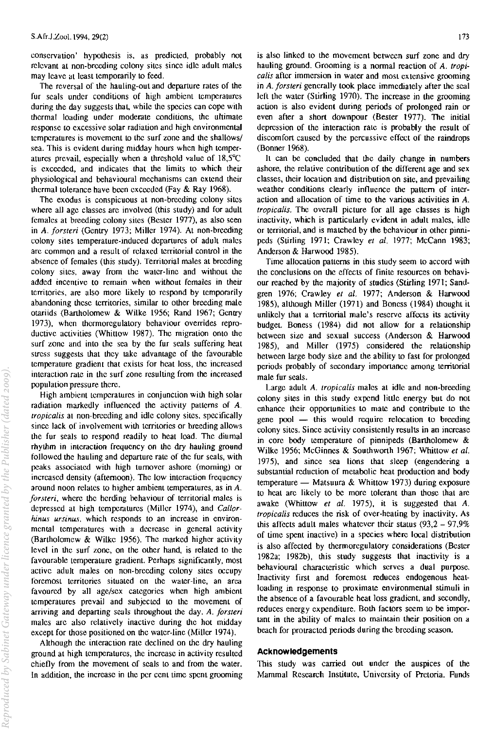conservation' hypothesis is, as predicted, probably not relevant at non-breeding colony sites since idle adult males may leave at least temporarily to feed.

The reversal of the hauling-out and departure rates of the fur seals under conditions of high ambient temperatures during the day suggests that, while the species can cope with thermal loading under moderate conditions, the ultimate response to excessive solar radiation and high environmental temperatures is movement to the surf zone and the shallows/ sea. This is evident during midday hours when high temperatures prevail, especially when a threshold value of  $18,5^{\circ}$ C is exceeded, and indicates that the limits to which their physiological and behavioural mechanisms can extend their thermal tolerance have been exceeded (Fay  $& Ray$  1968).

The exodus is conspicuous at non-breeding colony sites where all age classes are involved (this study) and for adult females at breeding colony sites (Bester 1977), as also seen in A. *jorsteri* (Gentry 1973; Miller 1974). At non-breeding colony sites temperature-induced departures of adult males are common and a result of relaxed territorial control in the absence of females (this study). Territorial males at breeding colony sites, away from the water-line and without the added incentive to remain when without females in their territories, are also more likely to respond by temporarily abandoning these territories, similar to other breeding male otariids (Bartholomew & Wilke 1956; Rand 1967; Gentry 1973), when thermoregulatory behaviour overrides reproductive activities (Whittow 1987). The migration onto the surf zone and into the sea by the fur seals suffering heat stress suggests that they take advantage of the favourable temperature gradient that exists for heat loss, the increased **interaction rate in the surf zone resulting from the increased**  population pressure there.

High ambient temperatures in conjunction with high solar radiation markedly influenced the activity patterns of A. *Iropicolis* at non-breeding and idle colony sites, speeifically since lack of involvement with territories or breeding allows the fur seals to respond readily to heat load. The diurnal rhythm in interaction frequency on the dry hauling ground followed the hauling and departure rate of the fur seals, with peaks associated with high turnover ashore (morning) or increased density (afternoon). The low interaction frequency around noon relates to higher ambient temperatures, as in A. *forsteri*, where the herding behaviour of territorial males is depressed at high temperatures (Miller 1974), and *Callor*hinus ursinus, which responds to an increase in environ**mental temperatures with a decrease in general activity**  (Bartholomew & Wilke 1956). The marked higher activity level in the surf zone, on the other hand, is related to the favourable temperature gradient. Perhaps significantly, most active adult males on non-breeding colony sites occupy **foremost territories situated on the water-line, an area**  favoured by all age/sex categories when high ambient temperatures prevail and subjected to the movement of arriving and departing seals throughout the day. A. *forsteri* males are also relatively inactive during the hot midday except for those positioned on the water-line (Miller 1974).

Although the interaction rate declined on the dry hauling ground at high temperatures, the increase in activity resulted chiefly from the movement of seals to and from the water. In addition, the increase in the per cent time spent grooming

is also linked to the movement between surf zone and dry hauling ground. Grooming is a normal reaction of A. *tropicalis* **after immersion in water and most ex lcnsive grooming**  in A. *forsteri* generally took place immediately after the seal left the water (Stirling 1970). The increase in the grooming action is also evident during periods of prolonged rain or even after a short downpour (Bester 1977). The initial depression of the interaction rate is probably the result of discomfort caused by the percussive effect of the raindrops (Bonner 1968).

It can be concluded that the daily change in numbers ashore, the relative contribution of the different age and sex classes, their location and distribution on site, and prevailing weather conditions clearly influence the pattern of inter**action and allocation of time to the various activities in A.**  *Iropicalis.* The overall picture for all age classes is high inactivity, which is particularly evident in adult males, idle or territorial, and is matehed by the behaviour in other pinnipeds (Stirling 1971; Crawley *et al.* 1977; McCann 1983; Anderson & Harwood 1985).

Time allocation patterns in this study seem to accord with the conclusions on the effects of finite resources on behaviour reached by the majority of studies (Stirling 1971; Sandgren 1976; Crawley *et al.* 1977; Anderson & Harwood 1985), although Miller (1971) and Boness (1984) thought it unlikely that a territorial male's reserve affects its activity budget. Boness (1984) did not allow for a relationship between size and sexual success (Anderson & Harwood 1985), and Miller (1975) considered the relationship between large body size and the ability to fast for prolonged periods probably of secondary importance among territorial male fur seals.

Large adult A. *tropicalis* males at idle and non-breeding colony sites in this study expend little energy but do not enhance their opportunities to mate and contribute to the gene  $pool$  - this would require relocation to breeding **colony siLes. Since activity consistently results in an increase**  in core body temperature of pinnipeds (Bartholomew & Wilke 1956; McGinnes & Southworth 1967; Whittow et al. 1975), and since sea lions that sleep (engendering a substantial reduction of metabolic heat production and body temperature  $-$  Matsuura & Whittow 1973) during exposure to heat are likely to be more tolerant than those that are awake (Whittow *et al.* 1975), it is suggested that A. *Iropicalis* reduces the risk of over-heating by inactivity. As this affects adult males whatever their status  $(93,2 - 97,9\%)$ of time spent inactive) in a species where local distribution is also affected by thermoregulatory considerations (Bester 1982a; 1982b), this study suggests that inactivity is a behavioural characteristic which serves a dual purpose. Inactivity first and foremost reduces endogenous heatloading in response to proximate environmental stimuli in the absence of a favourable heat loss gradient, and secondly, reduces energy expenditure. Both factors seem to be important in the ability of males to maintain their position on a beach for protracted periods during the breeding season.

### **Acknowledgements**

This study was carried out under the auspices of the Mammal Researeh Institute, University of Pretoria. Funds